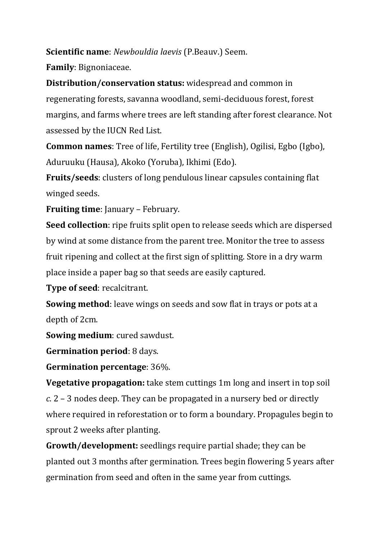**Scientific name**: *Newbouldia laevis* (P.Beauv.) Seem.

**Family**: Bignoniaceae.

**Distribution/conservation status:** widespread and common in regenerating forests, savanna woodland, semi-deciduous forest, forest margins, and farms where trees are left standing after forest clearance. Not assessed by the IUCN Red List.

**Common names**: Tree of life, Fertility tree (English), Ogilisi, Egbo (Igbo), Aduruuku (Hausa), Akoko (Yoruba), Ikhimi (Edo).

**Fruits/seeds**: clusters of long pendulous linear capsules containing flat winged seeds.

**Fruiting time**: January – February.

**Seed collection**: ripe fruits split open to release seeds which are dispersed by wind at some distance from the parent tree. Monitor the tree to assess fruit ripening and collect at the first sign of splitting. Store in a dry warm place inside a paper bag so that seeds are easily captured.

**Type of seed**: recalcitrant.

**Sowing method**: leave wings on seeds and sow flat in trays or pots at a depth of 2cm.

**Sowing medium**: cured sawdust.

**Germination period**: 8 days.

**Germination percentage**: 36%.

**Vegetative propagation:** take stem cuttings 1m long and insert in top soil *c.* 2 – 3 nodes deep. They can be propagated in a nursery bed or directly where required in reforestation or to form a boundary. Propagules begin to sprout 2 weeks after planting.

**Growth/development:** seedlings require partial shade; they can be planted out 3 months after germination. Trees begin flowering 5 years after germination from seed and often in the same year from cuttings.